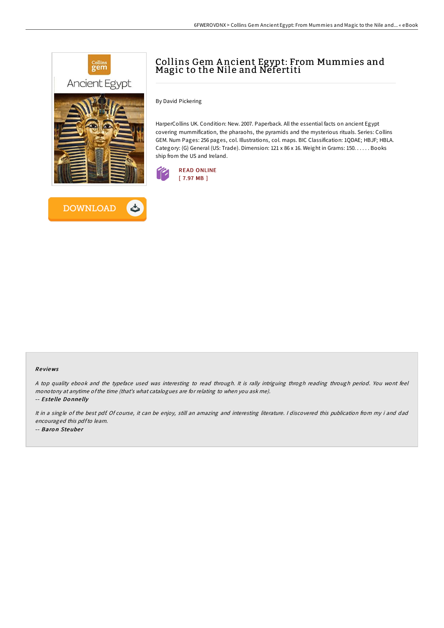



## Collins Gem A ncient Egypt: From Mummies and Magic to the Nile and Nefertiti

By David Pickering

HarperCollins UK. Condition: New. 2007. Paperback. All the essential facts on ancient Egypt covering mummification, the pharaohs, the pyramids and the mysterious rituals. Series: Collins GEM. Num Pages: 256 pages, col. Illustrations, col. maps. BIC Classification: 1QDAE; HBJF; HBLA. Category: (G) General (US: Trade). Dimension: 121 x 86 x 16. Weight in Grams: 150. . . . . . Books ship from the US and Ireland.



## Re views

<sup>A</sup> top quality ebook and the typeface used was interesting to read through. It is rally intriguing throgh reading through period. You wont feel monotony at anytime ofthe time (that's what catalogues are for relating to when you ask me).

-- Es te lle Do nne lly

It in <sup>a</sup> single of the best pdf. Of course, it can be enjoy, still an amazing and interesting literature. <sup>I</sup> discovered this publication from my i and dad encouraged this pdfto learn. -- Baron Steuber